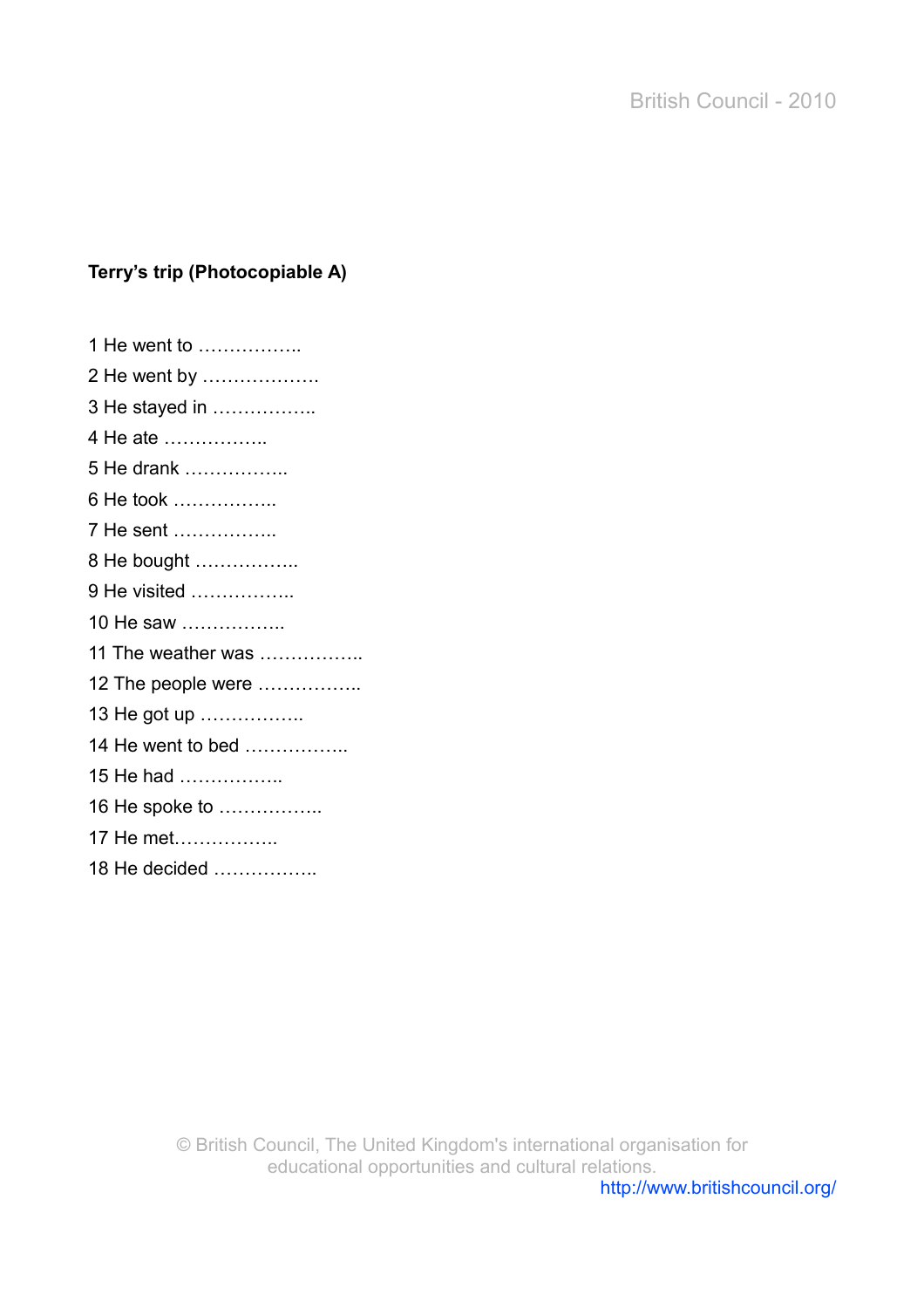## **Terry's trip (Photocopiable A)**

| 1 He went to       |
|--------------------|
| 2 He went by       |
| 3 He stayed in     |
| 4 He ate           |
| 5 He drank         |
| 6 He took          |
| 7 He sent          |
| 8 He bought        |
| 9 He visited       |
| 10 He saw          |
| 11 The weather was |
| 12 The people were |
| 13 He got up       |
| 14 He went to bed  |
| 15 He had          |
| 16 He spoke to     |
| 17 He met          |
| 18 He decided      |
|                    |